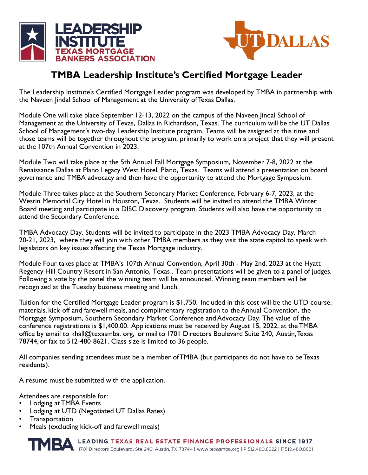



### **TMBA Leadership Institute's Certified Mortgage Leader**

The Leadership Institute's Certified Mortgage Leader program was developed by TMBA in partnership with the Naveen Jindal School of Management at the University of Texas Dallas.

Module One will take place September 12-13, 2022 on the campus of the Naveen Jindal School of Management at the University of Texas, Dallas in Richardson, Texas. The curriculum will be the UT Dallas School of Management's two-day Leadership Institute program. Teams will be assigned at this time and those teams will be together throughout the program, primarily to work on a project that they will present at the 107th Annual Convention in 2023.

Module Two will take place at the 5th Annual Fall Mortgage Symposium, November 7-8, 2022 at the Renaissance Dallas at Plano Legacy West Hotel, Plano, Texas. Teams will attend a presentation on board governance and TMBA advocacy and then have the opportunity to attend the Mortgage Symposium.

Module Three takes place at the Southern Secondary Market Conference, February 6-7, 2023, at the Westin Memorial City Hotel in Houston, Texas. Students will be invited to attend the TMBA Winter Board meeting and participate in a DISC Discovery program. Students will also have the opportunity to attend the Secondary Conference.

TMBA Advocacy Day. Students will be invited to participate in the 2023 TMBA Advocacy Day, March 20-21, 2023, where they will join with other TMBA members as they visit the state capitol to speak with legislators on key issues affecting the Texas Mortgage industry.

Module Four takes place at TMBA's 107th Annual Convention, April 30th - May 2nd, 2023 at the Hyatt Regency Hill Country Resort in San Antonio, Texas . Team presentations will be given to a panel of judges. Following a vote by the panel the winning team will be announced. Winning team members will be recognized at the Tuesday business meeting and lunch.

Tuition for the Certified Mortgage Leader program is \$1,750. Included in this cost will be the UTD course, materials, kick-off and farewell meals, and complimentary registration to the Annual Convention, the Mortgage Symposium, Southern Secondary Market Conference and Advocacy Day. The value of the conference registrations is \$1,400.00. Applications must be received by August 15, 2022, at the TMBA office by email to khall@texasmba. org, or mail to 1701 Directors Boulevard Suite 240, Austin, Texas 78744, or fax to 512-480-8621. Class size is limited to 36 people.

All companies sending attendees must be a member of TMBA (but participants do not have to be Texas residents).

A resume must be submitted with the application.

Attendees are responsible for:

- Lodging at TMBA Events
- Lodging at UTD (Negotiated UT Dallas Rates)
- Transportation
- Meals (excluding kick-off and farewell meals)

LEADING TEXAS REAL ESTATE FINANCE PROFESSIONALS SINCE 1917<br>1701 Directors Boulevard, Ste 240, Austin, TX 78744 | www.texasmba.org | P 512.480.8622 | F 512.480.8621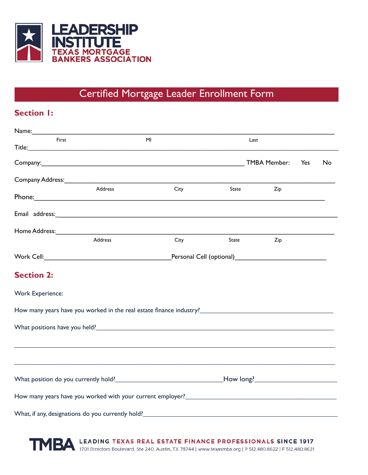

## Certified Mortgage Leader Enrollment Form

#### **Section I:**

| First                   |                                                                                                                | MI                                           |       | Last |     |    |  |
|-------------------------|----------------------------------------------------------------------------------------------------------------|----------------------------------------------|-------|------|-----|----|--|
|                         |                                                                                                                |                                              |       |      |     |    |  |
|                         |                                                                                                                |                                              |       |      | Yes | No |  |
|                         | Company Address: National Company Address: National Company Address:                                           |                                              |       |      |     |    |  |
|                         | Address                                                                                                        | City                                         | State | Zip  |     |    |  |
|                         |                                                                                                                |                                              |       |      |     |    |  |
|                         | Email address: and address: and a set of the set of the set of the set of the set of the set of the set of the |                                              |       |      |     |    |  |
|                         |                                                                                                                |                                              |       |      |     |    |  |
|                         | Address                                                                                                        | City                                         | State | Zip  |     |    |  |
|                         |                                                                                                                | Personal Cell (optional) <b>Example 2014</b> |       |      |     |    |  |
| <b>Section 2:</b>       |                                                                                                                |                                              |       |      |     |    |  |
| <b>Work Experience:</b> |                                                                                                                |                                              |       |      |     |    |  |
|                         |                                                                                                                |                                              |       |      |     |    |  |
|                         |                                                                                                                |                                              |       |      |     |    |  |
|                         |                                                                                                                |                                              |       |      |     |    |  |
|                         |                                                                                                                |                                              |       |      |     |    |  |
|                         |                                                                                                                |                                              |       |      |     |    |  |
|                         |                                                                                                                |                                              |       |      |     |    |  |
|                         | What, if any, designations do you currently hold? <b>_______________________________</b>                       |                                              |       |      |     |    |  |

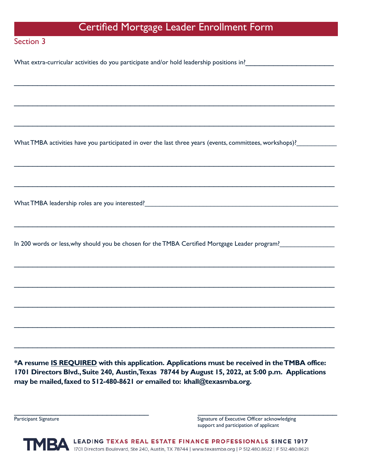### Certified Mortgage Leader Enrollment Form

\_\_\_\_\_\_\_\_\_\_\_\_\_\_\_\_\_\_\_\_\_\_\_\_\_\_\_\_\_\_\_\_\_\_\_\_\_\_\_\_\_\_\_\_\_\_\_\_\_\_\_\_\_\_\_\_\_\_\_\_\_\_\_\_\_\_\_\_\_

\_\_\_\_\_\_\_\_\_\_\_\_\_\_\_\_\_\_\_\_\_\_\_\_\_\_\_\_\_\_\_\_\_\_\_\_\_\_\_\_\_\_\_\_\_\_\_\_\_\_\_\_\_\_\_\_\_\_\_\_\_\_\_\_\_\_\_\_\_

\_\_\_\_\_\_\_\_\_\_\_\_\_\_\_\_\_\_\_\_\_\_\_\_\_\_\_\_\_\_\_\_\_\_\_\_\_\_\_\_\_\_\_\_\_\_\_\_\_\_\_\_\_\_\_\_\_\_\_\_\_\_\_\_\_\_\_\_\_

\_\_\_\_\_\_\_\_\_\_\_\_\_\_\_\_\_\_\_\_\_\_\_\_\_\_\_\_\_\_\_\_\_\_\_\_\_\_\_\_\_\_\_\_\_\_\_\_\_\_\_\_\_\_\_\_\_\_\_\_\_\_\_\_\_\_\_\_\_

\_\_\_\_\_\_\_\_\_\_\_\_\_\_\_\_\_\_\_\_\_\_\_\_\_\_\_\_\_\_\_\_\_\_\_\_\_\_\_\_\_\_\_\_\_\_\_\_\_\_\_\_\_\_\_\_\_\_\_\_\_\_\_\_\_\_\_\_\_

\_\_\_\_\_\_\_\_\_\_\_\_\_\_\_\_\_\_\_\_\_\_\_\_\_\_\_\_\_\_\_\_\_\_\_\_\_\_\_\_\_\_\_\_\_\_\_\_\_\_\_\_\_\_\_\_\_\_\_\_\_\_\_\_\_\_\_\_\_

\_\_\_\_\_\_\_\_\_\_\_\_\_\_\_\_\_\_\_\_\_\_\_\_\_\_\_\_\_\_\_\_\_\_\_\_\_\_\_\_\_\_\_\_\_\_\_\_\_\_\_\_\_\_\_\_\_\_\_\_\_\_\_\_\_\_\_\_\_

\_\_\_\_\_\_\_\_\_\_\_\_\_\_\_\_\_\_\_\_\_\_\_\_\_\_\_\_\_\_\_\_\_\_\_\_\_\_\_\_\_\_\_\_\_\_\_\_\_\_\_\_\_\_\_\_\_\_\_\_\_\_\_\_\_\_\_\_\_

\_\_\_\_\_\_\_\_\_\_\_\_\_\_\_\_\_\_\_\_\_\_\_\_\_\_\_\_\_\_\_\_\_\_\_\_\_\_\_\_\_\_\_\_\_\_\_\_\_\_\_\_\_\_\_\_\_\_\_\_\_\_\_\_\_\_\_\_\_

\_\_\_\_\_\_\_\_\_\_\_\_\_\_\_\_\_\_\_\_\_\_\_\_\_\_\_\_\_\_\_\_\_\_\_\_\_\_\_\_\_\_\_\_\_\_\_\_\_\_\_\_\_\_\_\_\_\_\_\_\_\_\_\_\_\_\_\_\_

\_\_\_\_\_\_\_\_\_\_\_\_\_\_\_\_\_\_\_\_\_\_\_\_\_\_\_\_\_\_\_\_\_\_\_\_\_\_\_\_\_\_\_\_\_\_\_\_\_\_\_\_\_\_\_\_\_\_\_\_\_\_\_\_\_\_\_\_\_

#### Section 3

What extra-curricular activities do you participate and/or hold leadership positions in? \_\_\_\_\_\_\_\_\_\_\_\_\_\_\_\_\_\_\_\_\_

What TMBA activities have you participated in over the last three years (events, committees, workshops)?

What TMBA leadership roles are you interested?\_\_\_\_\_\_\_\_\_\_\_\_\_\_\_\_\_\_\_\_\_\_\_\_\_\_\_\_\_\_\_\_\_\_

In 200 words or less,why should you be chosen for the TMBA Certified Mortgage Leader program?

**\*A resume IS REQUIRED with this application. Applications must be received in theTMBA office: 1701 Directors Blvd.,Suite 240, Austin,Texas 78744 by August 15, 2022, at 5:00 p.m. Applications may be mailed,faxed to 512-480-8621 or emailed to: khall@texasmba.org.**

Participant Signature Signature Signature Signature of Executive Officer acknowledging support and participation of applicant

TMBA LEADING TEXAS REAL ESTATE FINANCE PROFESSIONALS SINCE 1917<br>1701 Directors Boulevard, Ste 240, Austin, TX 78744 | www.texasmba.org | P 512.480.8622 | F 512.480.8621

 $\overline{\phantom{a}}$  , and the contribution of the contribution of the contribution of the contribution of the contribution of the contribution of the contribution of the contribution of the contribution of the contribution of the